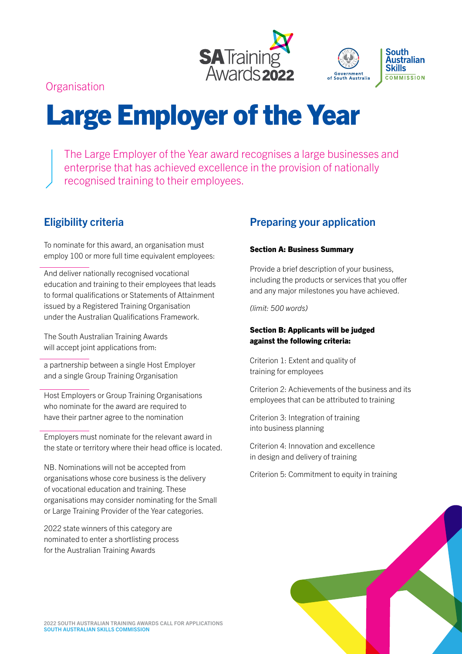



**Organisation** 

# Large Employer of the Year

The Large Employer of the Year award recognises a large businesses and enterprise that has achieved excellence in the provision of nationally recognised training to their employees.

# Eligibility criteria

To nominate for this award, an organisation must employ 100 or more full time equivalent employees:

And deliver nationally recognised vocational education and training to their employees that leads to formal qualifications or Statements of Attainment issued by a Registered Training Organisation under the Australian Qualifications Framework.

The South Australian Training Awards will accept joint applications from:

a partnership between a single Host Employer and a single Group Training Organisation

Host Employers or Group Training Organisations who nominate for the award are required to have their partner agree to the nomination

Employers must nominate for the relevant award in the state or territory where their head office is located.

NB. Nominations will not be accepted from organisations whose core business is the delivery of vocational education and training. These organisations may consider nominating for the Small or Large Training Provider of the Year categories.

2022 state winners of this category are nominated to enter a shortlisting process for the Australian Training Awards

# Preparing your application

# Section A: Business Summary

Provide a brief description of your business, including the products or services that you offer and any major milestones you have achieved.

*(limit: 500 words)*

# Section B: Applicants will be judged against the following criteria:

Criterion 1: Extent and quality of training for employees

Criterion 2: Achievements of the business and its employees that can be attributed to training

Criterion 3: Integration of training into business planning

Criterion 4: Innovation and excellence in design and delivery of training

Criterion 5: Commitment to equity in training

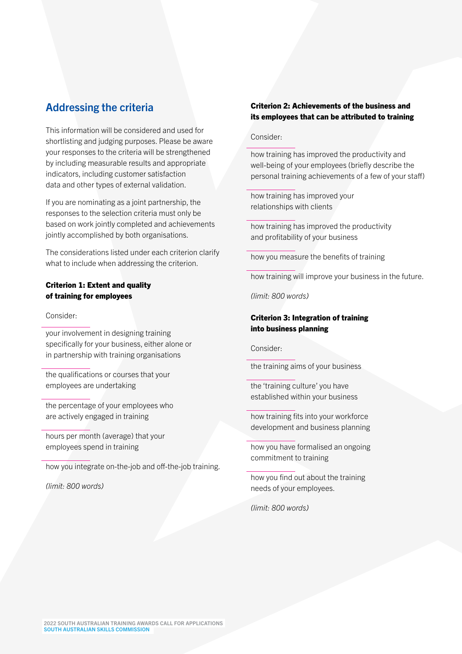# Addressing the criteria

This information will be considered and used for shortlisting and judging purposes. Please be aware your responses to the criteria will be strengthened by including measurable results and appropriate indicators, including customer satisfaction data and other types of external validation.

If you are nominating as a joint partnership, the responses to the selection criteria must only be based on work jointly completed and achievements jointly accomplished by both organisations.

The considerations listed under each criterion clarify what to include when addressing the criterion.

## Criterion 1: Extent and quality of training for employees

Consider:

your involvement in designing training specifically for your business, either alone or in partnership with training organisations

the qualifications or courses that your employees are undertaking

the percentage of your employees who are actively engaged in training

hours per month (average) that your employees spend in training

how you integrate on-the-job and off-the-job training.

*(limit: 800 words)*

# Criterion 2: Achievements of the business and its employees that can be attributed to training

#### Consider:

how training has improved the productivity and well-being of your employees (briefly describe the personal training achievements of a few of your staff)

how training has improved your relationships with clients

how training has improved the productivity and profitability of your business

how you measure the benefits of training

how training will improve your business in the future.

*(limit: 800 words)*

# Criterion 3: Integration of training into business planning

Consider:

the training aims of your business

the 'training culture' you have established within your business

how training fits into your workforce development and business planning

how you have formalised an ongoing commitment to training

how you find out about the training needs of your employees.

*(limit: 800 words)*